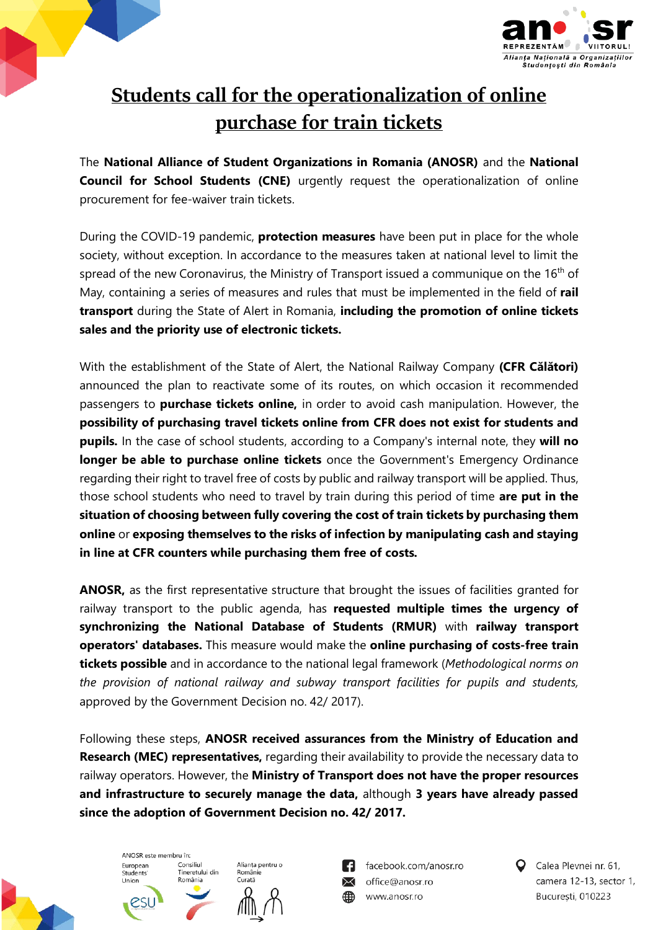



## **Students call for the operationalization of online purchase for train tickets**

The **National Alliance of Student Organizations in Romania (ANOSR)** and the **National Council for School Students (CNE)** urgently request the operationalization of online procurement for fee-waiver train tickets.

During the COVID-19 pandemic, **protection measures** have been put in place for the whole society, without exception. In accordance to the measures taken at national level to limit the spread of the new Coronavirus, the Ministry of Transport issued a communique on the 16<sup>th</sup> of May, containing a series of measures and rules that must be implemented in the field of **rail transport** during the State of Alert in Romania, **including the promotion of online tickets sales and the priority use of electronic tickets.**

With the establishment of the State of Alert, the National Railway Company **(CFR Călători)** announced the plan to reactivate some of its routes, on which occasion it recommended passengers to **purchase tickets online,** in order to avoid cash manipulation. However, the **possibility of purchasing travel tickets online from CFR does not exist for students and pupils.** In the case of school students, according to a Company's internal note, they **will no longer be able to purchase online tickets** once the Government's Emergency Ordinance regarding their right to travel free of costs by public and railway transport will be applied. Thus, those school students who need to travel by train during this period of time **are put in the situation of choosing between fully covering the cost of train tickets by purchasing them online** or **exposing themselves to the risks of infection by manipulating cash and staying in line at CFR counters while purchasing them free of costs.**

**ANOSR,** as the first representative structure that brought the issues of facilities granted for railway transport to the public agenda, has **requested multiple times the urgency of synchronizing the National Database of Students (RMUR)** with **railway transport operators' databases.** This measure would make the **online purchasing of costs-free train tickets possible** and in accordance to the national legal framework (*Methodological norms on the provision of national railway and subway transport facilities for pupils and students,*  approved by the Government Decision no. 42/ 2017).

Following these steps, **ANOSR received assurances from the Ministry of Education and Research (MEC) representatives,** regarding their availability to provide the necessary data to railway operators. However, the **Ministry of Transport does not have the proper resources and infrastructure to securely manage the data,** although **3 years have already passed since the adoption of Government Decision no. 42/ 2017.**



ANOSR este membru în: European Consiliul Consinui<br>Tineretului din Students Union România

Alianța pentru o Românie Curată



facebook.com/anosr.ro  $\searrow$ office@anosr.ro www.anosr.ro

Calea Plevnei nr. 61, camera 12-13, sector 1, Bucuresti, 010223